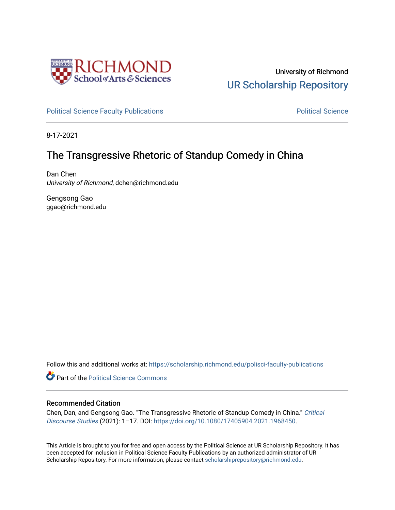

[Political Science Faculty Publications](https://scholarship.richmond.edu/polisci-faculty-publications) **Political Science** Political Science

8-17-2021

# The Transgressive Rhetoric of Standup Comedy in China

Dan Chen University of Richmond, dchen@richmond.edu

Gengsong Gao ggao@richmond.edu

Follow this and additional works at: [https://scholarship.richmond.edu/polisci-faculty-publications](https://scholarship.richmond.edu/polisci-faculty-publications?utm_source=scholarship.richmond.edu%2Fpolisci-faculty-publications%2F282&utm_medium=PDF&utm_campaign=PDFCoverPages) 

**Part of the Political Science Commons** 

# Recommended Citation

Chen, Dan, and Gengsong Gao. "The Transgressive Rhetoric of Standup Comedy in China." [Critical](https://www.tandfonline.com/journals/rcds20)  [Discourse Studies](https://www.tandfonline.com/journals/rcds20) (2021): 1–17. DOI:<https://doi.org/10.1080/17405904.2021.1968450>.

This Article is brought to you for free and open access by the Political Science at UR Scholarship Repository. It has been accepted for inclusion in Political Science Faculty Publications by an authorized administrator of UR Scholarship Repository. For more information, please contact [scholarshiprepository@richmond.edu.](mailto:scholarshiprepository@richmond.edu)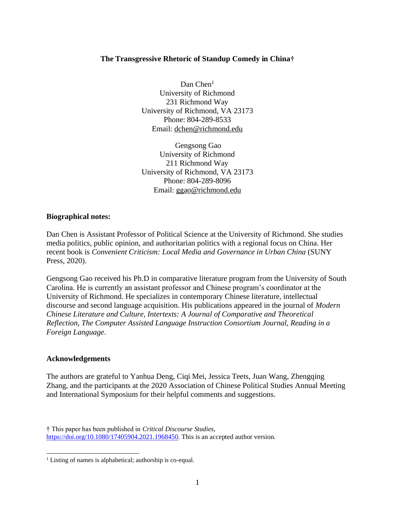# **The Transgressive Rhetoric of Standup Comedy in China†**

Dan Chen<sup>1</sup> University of Richmond 231 Richmond Way University of Richmond, VA 23173 Phone: 804-289-8533 Email: [dchen@richmond.edu](mailto:dchen@richmond.edu)

Gengsong Gao University of Richmond 211 Richmond Way University of Richmond, VA 23173 Phone: 804-289-8096 Email: [ggao@richmond.edu](mailto:ggao@richmond.edu)

# **Biographical notes:**

Dan Chen is Assistant Professor of Political Science at the University of Richmond. She studies media politics, public opinion, and authoritarian politics with a regional focus on China. Her recent book is *Convenient Criticism: Local Media and Governance in Urban China* (SUNY Press, 2020).

Gengsong Gao received his Ph.D in comparative literature program from the University of South Carolina. He is currently an assistant professor and Chinese program's coordinator at the University of Richmond. He specializes in contemporary Chinese literature, intellectual discourse and second language acquisition. His publications appeared in the journal of *Modern Chinese Literature and Culture, Intertexts: A Journal of Comparative and Theoretical Reflection, The Computer Assisted Language Instruction Consortium Journal, Reading in a Foreign Language*.

# **Acknowledgements**

The authors are grateful to Yanhua Deng, Ciqi Mei, Jessica Teets, Juan Wang, Zhengqing Zhang, and the participants at the 2020 Association of Chinese Political Studies Annual Meeting and International Symposium for their helpful comments and suggestions.

† This paper has been published in *Critical Discourse Studies*, [https://doi.org/10.1080/17405904.2021.1968450.](https://doi.org/10.1080/17405904.2021.1968450) This is an accepted author version.

<sup>&</sup>lt;sup>1</sup> Listing of names is alphabetical; authorship is co-equal.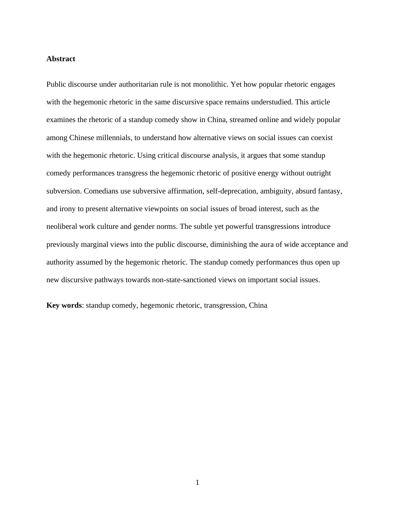# **Abstract**

Public discourse under authoritarian rule is not monolithic. Yet how popular rhetoric engages with the hegemonic rhetoric in the same discursive space remains understudied. This article examines the rhetoric of a standup comedy show in China, streamed online and widely popular among Chinese millennials, to understand how alternative views on social issues can coexist with the hegemonic rhetoric. Using critical discourse analysis, it argues that some standup comedy performances transgress the hegemonic rhetoric of positive energy without outright subversion. Comedians use subversive affirmation, self-deprecation, ambiguity, absurd fantasy, and irony to present alternative viewpoints on social issues of broad interest, such as the neoliberal work culture and gender norms. The subtle yet powerful transgressions introduce previously marginal views into the public discourse, diminishing the aura of wide acceptance and authority assumed by the hegemonic rhetoric. The standup comedy performances thus open up new discursive pathways towards non-state-sanctioned views on important social issues.

**Key words**: standup comedy, hegemonic rhetoric, transgression, China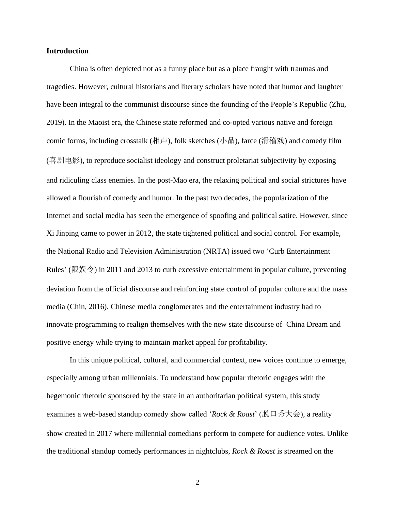# **Introduction**

China is often depicted not as a funny place but as a place fraught with traumas and tragedies. However, cultural historians and literary scholars have noted that humor and laughter have been integral to the communist discourse since the founding of the People's Republic (Zhu, 2019). In the Maoist era, the Chinese state reformed and co-opted various native and foreign comic forms, including crosstalk (相声), folk sketches (小品), farce (滑稽戏) and comedy film (喜剧电影), to reproduce socialist ideology and construct proletariat subjectivity by exposing and ridiculing class enemies. In the post-Mao era, the relaxing political and social strictures have allowed a flourish of comedy and humor. In the past two decades, the popularization of the Internet and social media has seen the emergence of spoofing and political satire. However, since Xi Jinping came to power in 2012, the state tightened political and social control. For example, the National Radio and Television Administration (NRTA) issued two 'Curb Entertainment Rules' (限娱令) in 2011 and 2013 to curb excessive entertainment in popular culture, preventing deviation from the official discourse and reinforcing state control of popular culture and the mass media (Chin, 2016). Chinese media conglomerates and the entertainment industry had to innovate programming to realign themselves with the new state discourse of China Dream and positive energy while trying to maintain market appeal for profitability.

In this unique political, cultural, and commercial context, new voices continue to emerge, especially among urban millennials. To understand how popular rhetoric engages with the hegemonic rhetoric sponsored by the state in an authoritarian political system, this study examines a web-based standup comedy show called '*Rock & Roast*' (脱口秀大会), a reality show created in 2017 where millennial comedians perform to compete for audience votes. Unlike the traditional standup comedy performances in nightclubs, *Rock & Roast* is streamed on the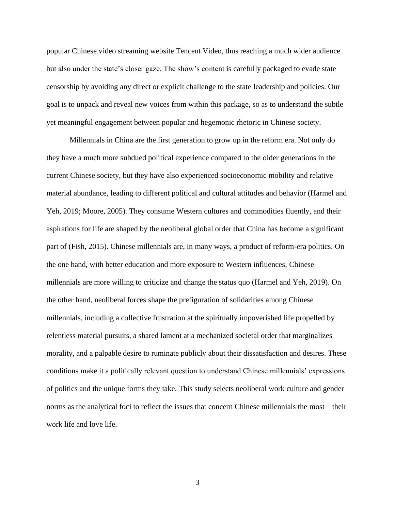popular Chinese video streaming website Tencent Video, thus reaching a much wider audience but also under the state's closer gaze. The show's content is carefully packaged to evade state censorship by avoiding any direct or explicit challenge to the state leadership and policies. Our goal is to unpack and reveal new voices from within this package, so as to understand the subtle yet meaningful engagement between popular and hegemonic rhetoric in Chinese society.

Millennials in China are the first generation to grow up in the reform era. Not only do they have a much more subdued political experience compared to the older generations in the current Chinese society, but they have also experienced socioeconomic mobility and relative material abundance, leading to different political and cultural attitudes and behavior (Harmel and Yeh, 2019; Moore, 2005). They consume Western cultures and commodities fluently, and their aspirations for life are shaped by the neoliberal global order that China has become a significant part of (Fish, 2015). Chinese millennials are, in many ways, a product of reform-era politics. On the one hand, with better education and more exposure to Western influences, Chinese millennials are more willing to criticize and change the status quo (Harmel and Yeh, 2019). On the other hand, neoliberal forces shape the prefiguration of solidarities among Chinese millennials, including a collective frustration at the spiritually impoverished life propelled by relentless material pursuits, a shared lament at a mechanized societal order that marginalizes morality, and a palpable desire to ruminate publicly about their dissatisfaction and desires. These conditions make it a politically relevant question to understand Chinese millennials' expressions of politics and the unique forms they take. This study selects neoliberal work culture and gender norms as the analytical foci to reflect the issues that concern Chinese millennials the most—their work life and love life.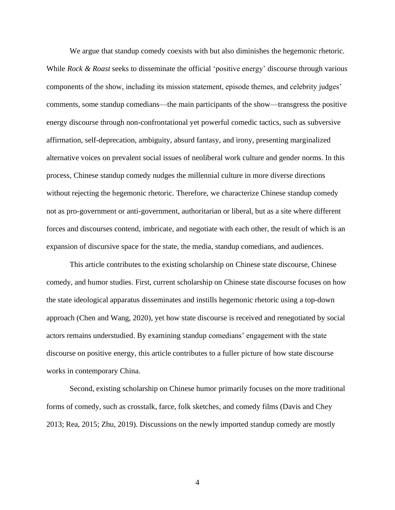We argue that standup comedy coexists with but also diminishes the hegemonic rhetoric. While *Rock & Roast* seeks to disseminate the official 'positive energy' discourse through various components of the show, including its mission statement, episode themes, and celebrity judges' comments, some standup comedians—the main participants of the show—transgress the positive energy discourse through non-confrontational yet powerful comedic tactics, such as subversive affirmation, self-deprecation, ambiguity, absurd fantasy, and irony, presenting marginalized alternative voices on prevalent social issues of neoliberal work culture and gender norms. In this process, Chinese standup comedy nudges the millennial culture in more diverse directions without rejecting the hegemonic rhetoric. Therefore, we characterize Chinese standup comedy not as pro-government or anti-government, authoritarian or liberal, but as a site where different forces and discourses contend, imbricate, and negotiate with each other, the result of which is an expansion of discursive space for the state, the media, standup comedians, and audiences.

This article contributes to the existing scholarship on Chinese state discourse, Chinese comedy, and humor studies. First, current scholarship on Chinese state discourse focuses on how the state ideological apparatus disseminates and instills hegemonic rhetoric using a top-down approach (Chen and Wang, 2020), yet how state discourse is received and renegotiated by social actors remains understudied. By examining standup comedians' engagement with the state discourse on positive energy, this article contributes to a fuller picture of how state discourse works in contemporary China.

Second, existing scholarship on Chinese humor primarily focuses on the more traditional forms of comedy, such as crosstalk, farce, folk sketches, and comedy films (Davis and Chey 2013; Rea, 2015; Zhu, 2019). Discussions on the newly imported standup comedy are mostly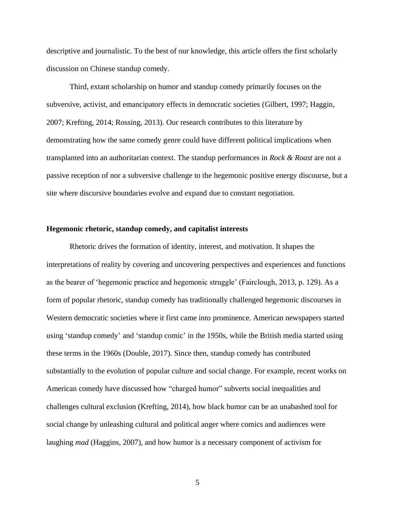descriptive and journalistic. To the best of our knowledge, this article offers the first scholarly discussion on Chinese standup comedy.

Third, extant scholarship on humor and standup comedy primarily focuses on the subversive, activist, and emancipatory effects in democratic societies (Gilbert, 1997; Haggin, 2007; Krefting, 2014; Rossing, 2013). Our research contributes to this literature by demonstrating how the same comedy genre could have different political implications when transplanted into an authoritarian context. The standup performances in *Rock & Roast* are not a passive reception of nor a subversive challenge to the hegemonic positive energy discourse, but a site where discursive boundaries evolve and expand due to constant negotiation.

## **Hegemonic rhetoric, standup comedy, and capitalist interests**

Rhetoric drives the formation of identity, interest, and motivation. It shapes the interpretations of reality by covering and uncovering perspectives and experiences and functions as the bearer of 'hegemonic practice and hegemonic struggle' (Fairclough, 2013, p. 129). As a form of popular rhetoric, standup comedy has traditionally challenged hegemonic discourses in Western democratic societies where it first came into prominence. American newspapers started using 'standup comedy' and 'standup comic' in the 1950s, while the British media started using these terms in the 1960s (Double, 2017). Since then, standup comedy has contributed substantially to the evolution of popular culture and social change. For example, recent works on American comedy have discussed how "charged humor" subverts social inequalities and challenges cultural exclusion (Krefting, 2014), how black humor can be an unabashed tool for social change by unleashing cultural and political anger where comics and audiences were laughing *mad* (Haggins, 2007), and how humor is a necessary component of activism for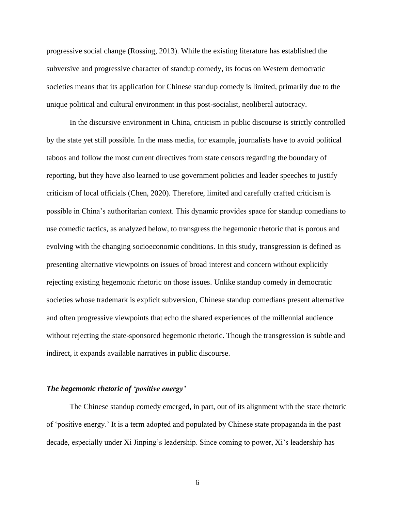progressive social change (Rossing, 2013). While the existing literature has established the subversive and progressive character of standup comedy, its focus on Western democratic societies means that its application for Chinese standup comedy is limited, primarily due to the unique political and cultural environment in this post-socialist, neoliberal autocracy.

In the discursive environment in China, criticism in public discourse is strictly controlled by the state yet still possible. In the mass media, for example, journalists have to avoid political taboos and follow the most current directives from state censors regarding the boundary of reporting, but they have also learned to use government policies and leader speeches to justify criticism of local officials (Chen, 2020). Therefore, limited and carefully crafted criticism is possible in China's authoritarian context. This dynamic provides space for standup comedians to use comedic tactics, as analyzed below, to transgress the hegemonic rhetoric that is porous and evolving with the changing socioeconomic conditions. In this study, transgression is defined as presenting alternative viewpoints on issues of broad interest and concern without explicitly rejecting existing hegemonic rhetoric on those issues. Unlike standup comedy in democratic societies whose trademark is explicit subversion, Chinese standup comedians present alternative and often progressive viewpoints that echo the shared experiences of the millennial audience without rejecting the state-sponsored hegemonic rhetoric. Though the transgression is subtle and indirect, it expands available narratives in public discourse.

# *The hegemonic rhetoric of 'positive energy'*

 The Chinese standup comedy emerged, in part, out of its alignment with the state rhetoric of 'positive energy.' It is a term adopted and populated by Chinese state propaganda in the past decade, especially under Xi Jinping's leadership. Since coming to power, Xi's leadership has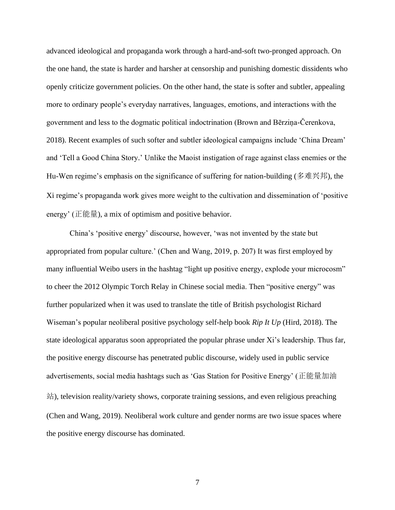advanced ideological and propaganda work through a hard-and-soft two-pronged approach. On the one hand, the state is harder and harsher at censorship and punishing domestic dissidents who openly criticize government policies. On the other hand, the state is softer and subtler, appealing more to ordinary people's everyday narratives, languages, emotions, and interactions with the government and less to the dogmatic political indoctrination (Brown and Bērziņa-Čerenkova, 2018). Recent examples of such softer and subtler ideological campaigns include 'China Dream' and 'Tell a Good China Story.' Unlike the Maoist instigation of rage against class enemies or the Hu-Wen regime's emphasis on the significance of suffering for nation-building (多难兴邦), the Xi regime's propaganda work gives more weight to the cultivation and dissemination of 'positive energy' (正能量), a mix of optimism and positive behavior.

China's 'positive energy' discourse, however, 'was not invented by the state but appropriated from popular culture.' (Chen and Wang, 2019, p. 207) It was first employed by many influential Weibo users in the hashtag "light up positive energy, explode your microcosm" to cheer the 2012 Olympic Torch Relay in Chinese social media. Then "positive energy" was further popularized when it was used to translate the title of British psychologist Richard Wiseman's popular neoliberal positive psychology self-help book *Rip It Up* (Hird, 2018). The state ideological apparatus soon appropriated the popular phrase under Xi's leadership. Thus far, the positive energy discourse has penetrated public discourse, widely used in public service advertisements, social media hashtags such as 'Gas Station for Positive Energy' (正能量加油 站), television reality/variety shows, corporate training sessions, and even religious preaching (Chen and Wang, 2019). Neoliberal work culture and gender norms are two issue spaces where the positive energy discourse has dominated.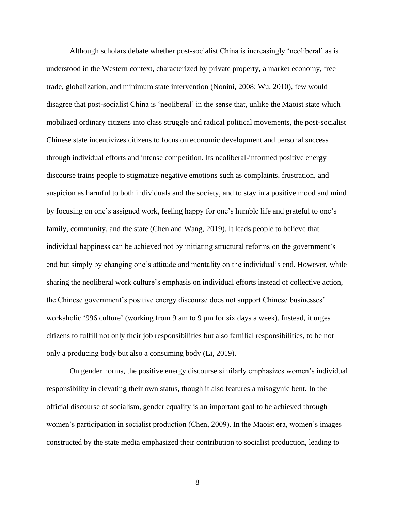Although scholars debate whether post-socialist China is increasingly 'neoliberal' as is understood in the Western context, characterized by private property, a market economy, free trade, globalization, and minimum state intervention (Nonini, 2008; Wu, 2010), few would disagree that post-socialist China is 'neoliberal' in the sense that, unlike the Maoist state which mobilized ordinary citizens into class struggle and radical political movements, the post-socialist Chinese state incentivizes citizens to focus on economic development and personal success through individual efforts and intense competition. Its neoliberal-informed positive energy discourse trains people to stigmatize negative emotions such as complaints, frustration, and suspicion as harmful to both individuals and the society, and to stay in a positive mood and mind by focusing on one's assigned work, feeling happy for one's humble life and grateful to one's family, community, and the state (Chen and Wang, 2019). It leads people to believe that individual happiness can be achieved not by initiating structural reforms on the government's end but simply by changing one's attitude and mentality on the individual's end. However, while sharing the neoliberal work culture's emphasis on individual efforts instead of collective action, the Chinese government's positive energy discourse does not support Chinese businesses' workaholic '996 culture' (working from 9 am to 9 pm for six days a week). Instead, it urges citizens to fulfill not only their job responsibilities but also familial responsibilities, to be not only a producing body but also a consuming body (Li, 2019).

On gender norms, the positive energy discourse similarly emphasizes women's individual responsibility in elevating their own status, though it also features a misogynic bent. In the official discourse of socialism, gender equality is an important goal to be achieved through women's participation in socialist production (Chen, 2009). In the Maoist era, women's images constructed by the state media emphasized their contribution to socialist production, leading to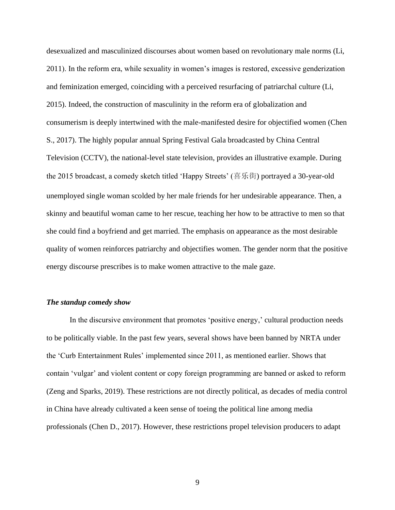desexualized and masculinized discourses about women based on revolutionary male norms (Li, 2011). In the reform era, while sexuality in women's images is restored, excessive genderization and feminization emerged, coinciding with a perceived resurfacing of patriarchal culture (Li, 2015). Indeed, the construction of masculinity in the reform era of globalization and consumerism is deeply intertwined with the male-manifested desire for objectified women (Chen S., 2017). The highly popular annual Spring Festival Gala broadcasted by China Central Television (CCTV), the national-level state television, provides an illustrative example. During the 2015 broadcast, a comedy sketch titled 'Happy Streets' (喜乐街) portrayed a 30-year-old unemployed single woman scolded by her male friends for her undesirable appearance. Then, a skinny and beautiful woman came to her rescue, teaching her how to be attractive to men so that she could find a boyfriend and get married. The emphasis on appearance as the most desirable quality of women reinforces patriarchy and objectifies women. The gender norm that the positive energy discourse prescribes is to make women attractive to the male gaze.

# *The standup comedy show*

In the discursive environment that promotes 'positive energy,' cultural production needs to be politically viable. In the past few years, several shows have been banned by NRTA under the 'Curb Entertainment Rules' implemented since 2011, as mentioned earlier. Shows that contain 'vulgar' and violent content or copy foreign programming are banned or asked to reform (Zeng and Sparks, 2019). These restrictions are not directly political, as decades of media control in China have already cultivated a keen sense of toeing the political line among media professionals (Chen D., 2017). However, these restrictions propel television producers to adapt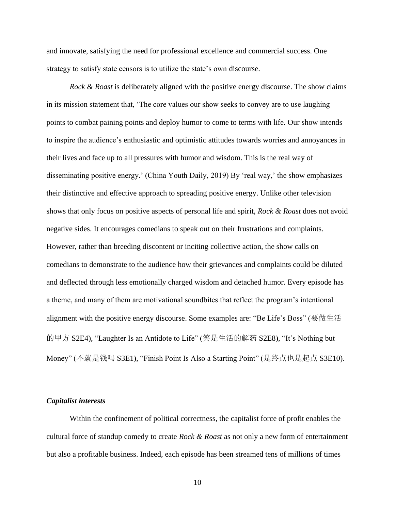and innovate, satisfying the need for professional excellence and commercial success. One strategy to satisfy state censors is to utilize the state's own discourse.

*Rock & Roast* is deliberately aligned with the positive energy discourse. The show claims in its mission statement that, 'The core values our show seeks to convey are to use laughing points to combat paining points and deploy humor to come to terms with life. Our show intends to inspire the audience's enthusiastic and optimistic attitudes towards worries and annoyances in their lives and face up to all pressures with humor and wisdom. This is the real way of disseminating positive energy.' (China Youth Daily, 2019) By 'real way,' the show emphasizes their distinctive and effective approach to spreading positive energy. Unlike other television shows that only focus on positive aspects of personal life and spirit, *Rock & Roast* does not avoid negative sides. It encourages comedians to speak out on their frustrations and complaints. However, rather than breeding discontent or inciting collective action, the show calls on comedians to demonstrate to the audience how their grievances and complaints could be diluted and deflected through less emotionally charged wisdom and detached humor. Every episode has a theme, and many of them are motivational soundbites that reflect the program's intentional alignment with the positive energy discourse. Some examples are: "Be Life's Boss" (要做生活 的甲方 S2E4), "Laughter Is an Antidote to Life" (笑是生活的解药 S2E8), "It's Nothing but Money" (不就是钱吗 S3E1), "Finish Point Is Also a Starting Point" (是终点也是起点 S3E10).

# *Capitalist interests*

Within the confinement of political correctness, the capitalist force of profit enables the cultural force of standup comedy to create *Rock & Roast* as not only a new form of entertainment but also a profitable business. Indeed, each episode has been streamed tens of millions of times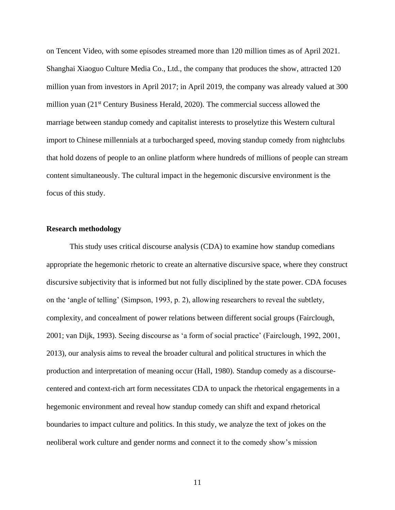on Tencent Video, with some episodes streamed more than 120 million times as of April 2021. Shanghai Xiaoguo Culture Media Co., Ltd., the company that produces the show, attracted 120 million yuan from investors in April 2017; in April 2019, the company was already valued at 300 million yuan (21<sup>st</sup> Century Business Herald, 2020). The commercial success allowed the marriage between standup comedy and capitalist interests to proselytize this Western cultural import to Chinese millennials at a turbocharged speed, moving standup comedy from nightclubs that hold dozens of people to an online platform where hundreds of millions of people can stream content simultaneously. The cultural impact in the hegemonic discursive environment is the focus of this study.

# **Research methodology**

This study uses critical discourse analysis (CDA) to examine how standup comedians appropriate the hegemonic rhetoric to create an alternative discursive space, where they construct discursive subjectivity that is informed but not fully disciplined by the state power. CDA focuses on the 'angle of telling' (Simpson, 1993, p. 2), allowing researchers to reveal the subtlety, complexity, and concealment of power relations between different social groups (Fairclough, 2001; van Dijk, 1993). Seeing discourse as 'a form of social practice' (Fairclough, 1992, 2001, 2013), our analysis aims to reveal the broader cultural and political structures in which the production and interpretation of meaning occur (Hall, 1980). Standup comedy as a discoursecentered and context-rich art form necessitates CDA to unpack the rhetorical engagements in a hegemonic environment and reveal how standup comedy can shift and expand rhetorical boundaries to impact culture and politics. In this study, we analyze the text of jokes on the neoliberal work culture and gender norms and connect it to the comedy show's mission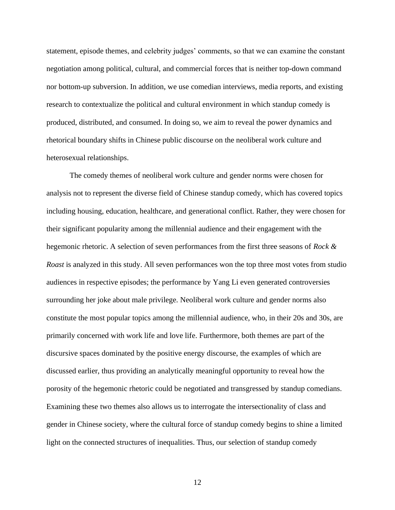statement, episode themes, and celebrity judges' comments, so that we can examine the constant negotiation among political, cultural, and commercial forces that is neither top-down command nor bottom-up subversion. In addition, we use comedian interviews, media reports, and existing research to contextualize the political and cultural environment in which standup comedy is produced, distributed, and consumed. In doing so, we aim to reveal the power dynamics and rhetorical boundary shifts in Chinese public discourse on the neoliberal work culture and heterosexual relationships.

 The comedy themes of neoliberal work culture and gender norms were chosen for analysis not to represent the diverse field of Chinese standup comedy, which has covered topics including housing, education, healthcare, and generational conflict. Rather, they were chosen for their significant popularity among the millennial audience and their engagement with the hegemonic rhetoric. A selection of seven performances from the first three seasons of *Rock & Roast* is analyzed in this study. All seven performances won the top three most votes from studio audiences in respective episodes; the performance by Yang Li even generated controversies surrounding her joke about male privilege. Neoliberal work culture and gender norms also constitute the most popular topics among the millennial audience, who, in their 20s and 30s, are primarily concerned with work life and love life. Furthermore, both themes are part of the discursive spaces dominated by the positive energy discourse, the examples of which are discussed earlier, thus providing an analytically meaningful opportunity to reveal how the porosity of the hegemonic rhetoric could be negotiated and transgressed by standup comedians. Examining these two themes also allows us to interrogate the intersectionality of class and gender in Chinese society, where the cultural force of standup comedy begins to shine a limited light on the connected structures of inequalities. Thus, our selection of standup comedy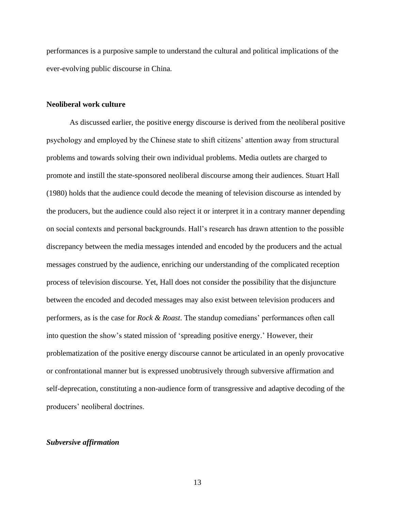performances is a purposive sample to understand the cultural and political implications of the ever-evolving public discourse in China.

#### **Neoliberal work culture**

As discussed earlier, the positive energy discourse is derived from the neoliberal positive psychology and employed by the Chinese state to shift citizens' attention away from structural problems and towards solving their own individual problems. Media outlets are charged to promote and instill the state-sponsored neoliberal discourse among their audiences. Stuart Hall (1980) holds that the audience could decode the meaning of television discourse as intended by the producers, but the audience could also reject it or interpret it in a contrary manner depending on social contexts and personal backgrounds. Hall's research has drawn attention to the possible discrepancy between the media messages intended and encoded by the producers and the actual messages construed by the audience, enriching our understanding of the complicated reception process of television discourse. Yet, Hall does not consider the possibility that the disjuncture between the encoded and decoded messages may also exist between television producers and performers, as is the case for *Rock & Roast*. The standup comedians' performances often call into question the show's stated mission of 'spreading positive energy.' However, their problematization of the positive energy discourse cannot be articulated in an openly provocative or confrontational manner but is expressed unobtrusively through subversive affirmation and self-deprecation, constituting a non-audience form of transgressive and adaptive decoding of the producers' neoliberal doctrines.

# *Subversive affirmation*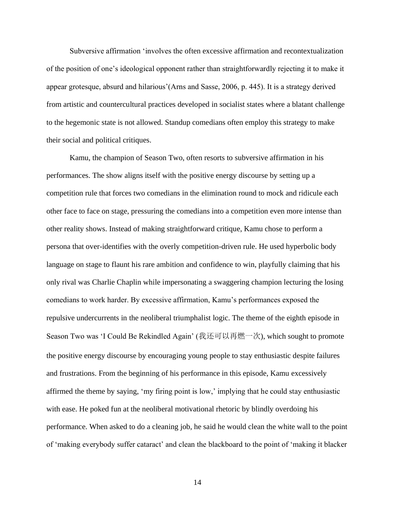Subversive affirmation 'involves the often excessive affirmation and recontextualization of the position of one's ideological opponent rather than straightforwardly rejecting it to make it appear grotesque, absurd and hilarious'(Arns and Sasse, 2006, p. 445). It is a strategy derived from artistic and countercultural practices developed in socialist states where a blatant challenge to the hegemonic state is not allowed. Standup comedians often employ this strategy to make their social and political critiques.

Kamu, the champion of Season Two, often resorts to subversive affirmation in his performances. The show aligns itself with the positive energy discourse by setting up a competition rule that forces two comedians in the elimination round to mock and ridicule each other face to face on stage, pressuring the comedians into a competition even more intense than other reality shows. Instead of making straightforward critique, Kamu chose to perform a persona that over-identifies with the overly competition-driven rule. He used hyperbolic body language on stage to flaunt his rare ambition and confidence to win, playfully claiming that his only rival was Charlie Chaplin while impersonating a swaggering champion lecturing the losing comedians to work harder. By excessive affirmation, Kamu's performances exposed the repulsive undercurrents in the neoliberal triumphalist logic. The theme of the eighth episode in Season Two was 'I Could Be Rekindled Again' (我还可以再燃一次), which sought to promote the positive energy discourse by encouraging young people to stay enthusiastic despite failures and frustrations. From the beginning of his performance in this episode, Kamu excessively affirmed the theme by saying, 'my firing point is low,' implying that he could stay enthusiastic with ease. He poked fun at the neoliberal motivational rhetoric by blindly overdoing his performance. When asked to do a cleaning job, he said he would clean the white wall to the point of 'making everybody suffer cataract' and clean the blackboard to the point of 'making it blacker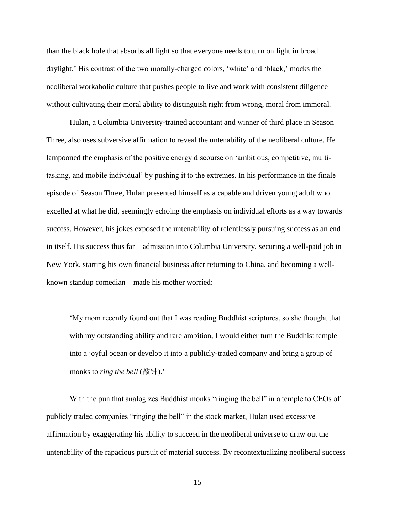than the black hole that absorbs all light so that everyone needs to turn on light in broad daylight.' His contrast of the two morally-charged colors, 'white' and 'black,' mocks the neoliberal workaholic culture that pushes people to live and work with consistent diligence without cultivating their moral ability to distinguish right from wrong, moral from immoral.

Hulan, a Columbia University-trained accountant and winner of third place in Season Three, also uses subversive affirmation to reveal the untenability of the neoliberal culture. He lampooned the emphasis of the positive energy discourse on 'ambitious, competitive, multitasking, and mobile individual' by pushing it to the extremes. In his performance in the finale episode of Season Three, Hulan presented himself as a capable and driven young adult who excelled at what he did, seemingly echoing the emphasis on individual efforts as a way towards success. However, his jokes exposed the untenability of relentlessly pursuing success as an end in itself. His success thus far—admission into Columbia University, securing a well-paid job in New York, starting his own financial business after returning to China, and becoming a wellknown standup comedian—made his mother worried:

'My mom recently found out that I was reading Buddhist scriptures, so she thought that with my outstanding ability and rare ambition, I would either turn the Buddhist temple into a joyful ocean or develop it into a publicly-traded company and bring a group of monks to *ring the bell* (敲钟).'

With the pun that analogizes Buddhist monks "ringing the bell" in a temple to CEOs of publicly traded companies "ringing the bell" in the stock market, Hulan used excessive affirmation by exaggerating his ability to succeed in the neoliberal universe to draw out the untenability of the rapacious pursuit of material success. By recontextualizing neoliberal success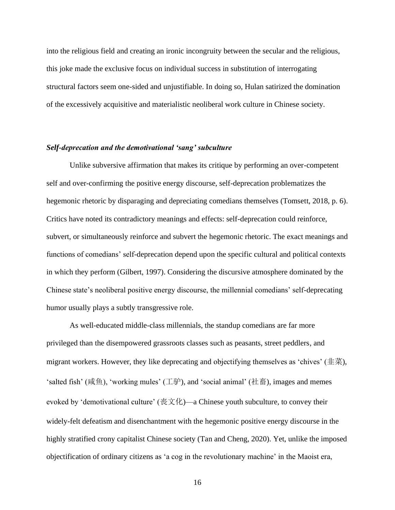into the religious field and creating an ironic incongruity between the secular and the religious, this joke made the exclusive focus on individual success in substitution of interrogating structural factors seem one-sided and unjustifiable. In doing so, Hulan satirized the domination of the excessively acquisitive and materialistic neoliberal work culture in Chinese society.

#### *Self-deprecation and the demotivational 'sang' subculture*

Unlike subversive affirmation that makes its critique by performing an over-competent self and over-confirming the positive energy discourse, self-deprecation problematizes the hegemonic rhetoric by disparaging and depreciating comedians themselves (Tomsett, 2018, p. 6). Critics have noted its contradictory meanings and effects: self-deprecation could reinforce, subvert, or simultaneously reinforce and subvert the hegemonic rhetoric. The exact meanings and functions of comedians' self-deprecation depend upon the specific cultural and political contexts in which they perform (Gilbert, 1997). Considering the discursive atmosphere dominated by the Chinese state's neoliberal positive energy discourse, the millennial comedians' self-deprecating humor usually plays a subtly transgressive role.

As well-educated middle-class millennials, the standup comedians are far more privileged than the disempowered grassroots classes such as peasants, street peddlers, and migrant workers. However, they like deprecating and objectifying themselves as 'chives' ( $\pm \ddot{\ddot{x}}$ ), 'salted fish' (咸鱼), 'working mules' (工驴), and 'social animal' (社畜), images and memes evoked by 'demotivational culture' (丧文化)—a Chinese youth subculture, to convey their widely-felt defeatism and disenchantment with the hegemonic positive energy discourse in the highly stratified crony capitalist Chinese society (Tan and Cheng, 2020). Yet, unlike the imposed objectification of ordinary citizens as 'a cog in the revolutionary machine' in the Maoist era,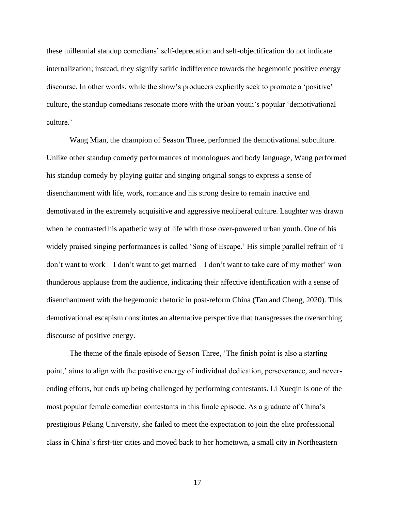these millennial standup comedians' self-deprecation and self-objectification do not indicate internalization; instead, they signify satiric indifference towards the hegemonic positive energy discourse. In other words, while the show's producers explicitly seek to promote a 'positive' culture, the standup comedians resonate more with the urban youth's popular 'demotivational culture.'

Wang Mian, the champion of Season Three, performed the demotivational subculture. Unlike other standup comedy performances of monologues and body language, Wang performed his standup comedy by playing guitar and singing original songs to express a sense of disenchantment with life, work, romance and his strong desire to remain inactive and demotivated in the extremely acquisitive and aggressive neoliberal culture. Laughter was drawn when he contrasted his apathetic way of life with those over-powered urban youth. One of his widely praised singing performances is called 'Song of Escape.' His simple parallel refrain of 'I don't want to work—I don't want to get married—I don't want to take care of my mother' won thunderous applause from the audience, indicating their affective identification with a sense of disenchantment with the hegemonic rhetoric in post-reform China (Tan and Cheng, 2020). This demotivational escapism constitutes an alternative perspective that transgresses the overarching discourse of positive energy.

The theme of the finale episode of Season Three, 'The finish point is also a starting point,' aims to align with the positive energy of individual dedication, perseverance, and neverending efforts, but ends up being challenged by performing contestants. Li Xueqin is one of the most popular female comedian contestants in this finale episode. As a graduate of China's prestigious Peking University, she failed to meet the expectation to join the elite professional class in China's first-tier cities and moved back to her hometown, a small city in Northeastern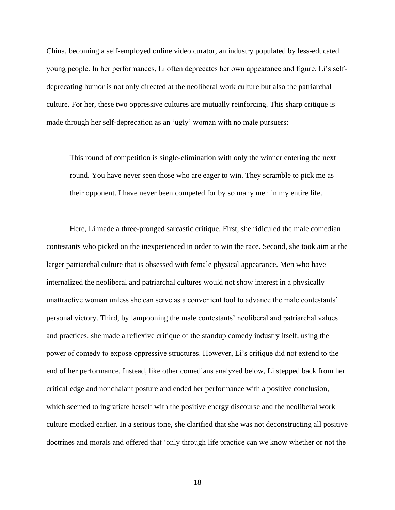China, becoming a self-employed online video curator, an industry populated by less-educated young people. In her performances, Li often deprecates her own appearance and figure. Li's selfdeprecating humor is not only directed at the neoliberal work culture but also the patriarchal culture. For her, these two oppressive cultures are mutually reinforcing. This sharp critique is made through her self-deprecation as an 'ugly' woman with no male pursuers:

This round of competition is single-elimination with only the winner entering the next round. You have never seen those who are eager to win. They scramble to pick me as their opponent. I have never been competed for by so many men in my entire life.

Here, Li made a three-pronged sarcastic critique. First, she ridiculed the male comedian contestants who picked on the inexperienced in order to win the race. Second, she took aim at the larger patriarchal culture that is obsessed with female physical appearance. Men who have internalized the neoliberal and patriarchal cultures would not show interest in a physically unattractive woman unless she can serve as a convenient tool to advance the male contestants' personal victory. Third, by lampooning the male contestants' neoliberal and patriarchal values and practices, she made a reflexive critique of the standup comedy industry itself, using the power of comedy to expose oppressive structures. However, Li's critique did not extend to the end of her performance. Instead, like other comedians analyzed below, Li stepped back from her critical edge and nonchalant posture and ended her performance with a positive conclusion, which seemed to ingratiate herself with the positive energy discourse and the neoliberal work culture mocked earlier. In a serious tone, she clarified that she was not deconstructing all positive doctrines and morals and offered that 'only through life practice can we know whether or not the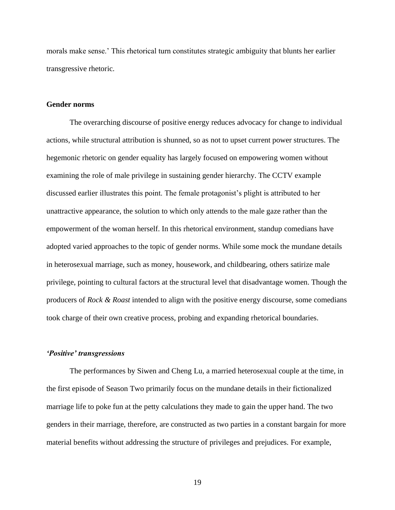morals make sense.' This rhetorical turn constitutes strategic ambiguity that blunts her earlier transgressive rhetoric.

# **Gender norms**

The overarching discourse of positive energy reduces advocacy for change to individual actions, while structural attribution is shunned, so as not to upset current power structures. The hegemonic rhetoric on gender equality has largely focused on empowering women without examining the role of male privilege in sustaining gender hierarchy. The CCTV example discussed earlier illustrates this point. The female protagonist's plight is attributed to her unattractive appearance, the solution to which only attends to the male gaze rather than the empowerment of the woman herself. In this rhetorical environment, standup comedians have adopted varied approaches to the topic of gender norms. While some mock the mundane details in heterosexual marriage, such as money, housework, and childbearing, others satirize male privilege, pointing to cultural factors at the structural level that disadvantage women. Though the producers of *Rock & Roast* intended to align with the positive energy discourse, some comedians took charge of their own creative process, probing and expanding rhetorical boundaries.

#### *'Positive' transgressions*

The performances by Siwen and Cheng Lu, a married heterosexual couple at the time, in the first episode of Season Two primarily focus on the mundane details in their fictionalized marriage life to poke fun at the petty calculations they made to gain the upper hand. The two genders in their marriage, therefore, are constructed as two parties in a constant bargain for more material benefits without addressing the structure of privileges and prejudices. For example,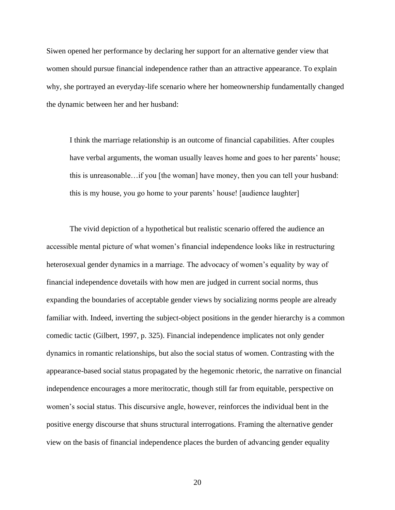Siwen opened her performance by declaring her support for an alternative gender view that women should pursue financial independence rather than an attractive appearance. To explain why, she portrayed an everyday-life scenario where her homeownership fundamentally changed the dynamic between her and her husband:

I think the marriage relationship is an outcome of financial capabilities. After couples have verbal arguments, the woman usually leaves home and goes to her parents' house; this is unreasonable…if you [the woman] have money, then you can tell your husband: this is my house, you go home to your parents' house! [audience laughter]

The vivid depiction of a hypothetical but realistic scenario offered the audience an accessible mental picture of what women's financial independence looks like in restructuring heterosexual gender dynamics in a marriage. The advocacy of women's equality by way of financial independence dovetails with how men are judged in current social norms, thus expanding the boundaries of acceptable gender views by socializing norms people are already familiar with. Indeed, inverting the subject-object positions in the gender hierarchy is a common comedic tactic (Gilbert, 1997, p. 325). Financial independence implicates not only gender dynamics in romantic relationships, but also the social status of women. Contrasting with the appearance-based social status propagated by the hegemonic rhetoric, the narrative on financial independence encourages a more meritocratic, though still far from equitable, perspective on women's social status. This discursive angle, however, reinforces the individual bent in the positive energy discourse that shuns structural interrogations. Framing the alternative gender view on the basis of financial independence places the burden of advancing gender equality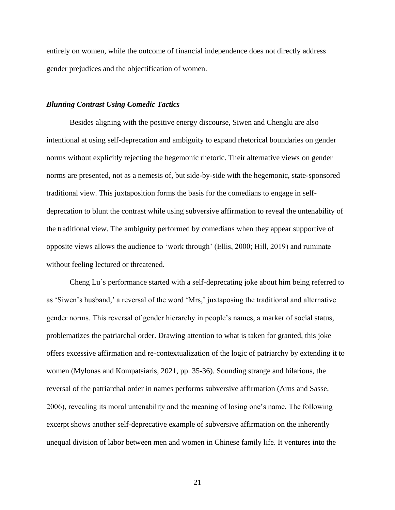entirely on women, while the outcome of financial independence does not directly address gender prejudices and the objectification of women.

# *Blunting Contrast Using Comedic Tactics*

Besides aligning with the positive energy discourse, Siwen and Chenglu are also intentional at using self-deprecation and ambiguity to expand rhetorical boundaries on gender norms without explicitly rejecting the hegemonic rhetoric. Their alternative views on gender norms are presented, not as a nemesis of, but side-by-side with the hegemonic, state-sponsored traditional view. This juxtaposition forms the basis for the comedians to engage in selfdeprecation to blunt the contrast while using subversive affirmation to reveal the untenability of the traditional view. The ambiguity performed by comedians when they appear supportive of opposite views allows the audience to 'work through' (Ellis, 2000; Hill, 2019) and ruminate without feeling lectured or threatened.

Cheng Lu's performance started with a self-deprecating joke about him being referred to as 'Siwen's husband,' a reversal of the word 'Mrs,' juxtaposing the traditional and alternative gender norms. This reversal of gender hierarchy in people's names, a marker of social status, problematizes the patriarchal order. Drawing attention to what is taken for granted, this joke offers excessive affirmation and re-contextualization of the logic of patriarchy by extending it to women (Mylonas and Kompatsiaris, 2021, pp. 35-36). Sounding strange and hilarious, the reversal of the patriarchal order in names performs subversive affirmation (Arns and Sasse, 2006), revealing its moral untenability and the meaning of losing one's name. The following excerpt shows another self-deprecative example of subversive affirmation on the inherently unequal division of labor between men and women in Chinese family life. It ventures into the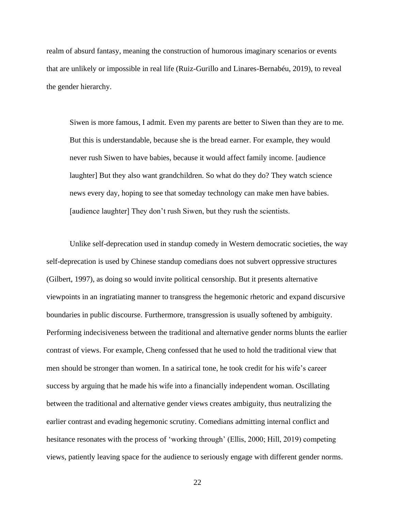realm of absurd fantasy, meaning the construction of humorous imaginary scenarios or events that are unlikely or impossible in real life (Ruiz-Gurillo and Linares-Bernabéu, 2019), to reveal the gender hierarchy.

Siwen is more famous, I admit. Even my parents are better to Siwen than they are to me. But this is understandable, because she is the bread earner. For example, they would never rush Siwen to have babies, because it would affect family income. [audience laughter] But they also want grandchildren. So what do they do? They watch science news every day, hoping to see that someday technology can make men have babies. [audience laughter] They don't rush Siwen, but they rush the scientists.

Unlike self-deprecation used in standup comedy in Western democratic societies, the way self-deprecation is used by Chinese standup comedians does not subvert oppressive structures (Gilbert, 1997), as doing so would invite political censorship. But it presents alternative viewpoints in an ingratiating manner to transgress the hegemonic rhetoric and expand discursive boundaries in public discourse. Furthermore, transgression is usually softened by ambiguity. Performing indecisiveness between the traditional and alternative gender norms blunts the earlier contrast of views. For example, Cheng confessed that he used to hold the traditional view that men should be stronger than women. In a satirical tone, he took credit for his wife's career success by arguing that he made his wife into a financially independent woman. Oscillating between the traditional and alternative gender views creates ambiguity, thus neutralizing the earlier contrast and evading hegemonic scrutiny. Comedians admitting internal conflict and hesitance resonates with the process of 'working through' (Ellis, 2000; Hill, 2019) competing views, patiently leaving space for the audience to seriously engage with different gender norms.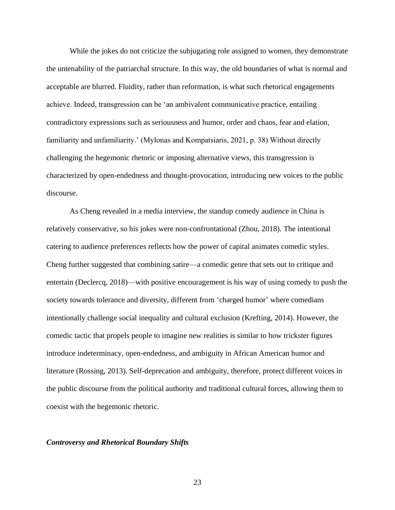While the jokes do not criticize the subjugating role assigned to women, they demonstrate the untenability of the patriarchal structure. In this way, the old boundaries of what is normal and acceptable are blurred. Fluidity, rather than reformation, is what such rhetorical engagements achieve. Indeed, transgression can be 'an ambivalent communicative practice, entailing contradictory expressions such as seriousness and humor, order and chaos, fear and elation, familiarity and unfamiliarity.' (Mylonas and Kompatsiaris, 2021, p. 38) Without directly challenging the hegemonic rhetoric or imposing alternative views, this transgression is characterized by open-endedness and thought-provocation, introducing new voices to the public discourse.

As Cheng revealed in a media interview, the standup comedy audience in China is relatively conservative, so his jokes were non-confrontational (Zhou, 2018). The intentional catering to audience preferences reflects how the power of capital animates comedic styles. Cheng further suggested that combining satire—a comedic genre that sets out to critique and entertain (Declercq, 2018)—with positive encouragement is his way of using comedy to push the society towards tolerance and diversity, different from 'charged humor' where comedians intentionally challenge social inequality and cultural exclusion (Krefting, 2014). However, the comedic tactic that propels people to imagine new realities is similar to how trickster figures introduce indeterminacy, open-endedness, and ambiguity in African American humor and literature (Rossing, 2013). Self-deprecation and ambiguity, therefore, protect different voices in the public discourse from the political authority and traditional cultural forces, allowing them to coexist with the hegemonic rhetoric.

# *Controversy and Rhetorical Boundary Shifts*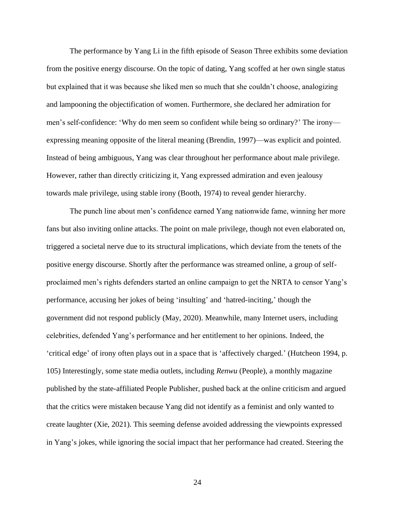The performance by Yang Li in the fifth episode of Season Three exhibits some deviation from the positive energy discourse. On the topic of dating, Yang scoffed at her own single status but explained that it was because she liked men so much that she couldn't choose, analogizing and lampooning the objectification of women. Furthermore, she declared her admiration for men's self-confidence: 'Why do men seem so confident while being so ordinary?' The irony expressing meaning opposite of the literal meaning (Brendin, 1997)—was explicit and pointed. Instead of being ambiguous, Yang was clear throughout her performance about male privilege. However, rather than directly criticizing it, Yang expressed admiration and even jealousy towards male privilege, using stable irony (Booth, 1974) to reveal gender hierarchy.

The punch line about men's confidence earned Yang nationwide fame, winning her more fans but also inviting online attacks. The point on male privilege, though not even elaborated on, triggered a societal nerve due to its structural implications, which deviate from the tenets of the positive energy discourse. Shortly after the performance was streamed online, a group of selfproclaimed men's rights defenders started an online campaign to get the NRTA to censor Yang's performance, accusing her jokes of being 'insulting' and 'hatred-inciting,' though the government did not respond publicly (May, 2020). Meanwhile, many Internet users, including celebrities, defended Yang's performance and her entitlement to her opinions. Indeed, the 'critical edge' of irony often plays out in a space that is 'affectively charged.' (Hutcheon 1994, p. 105) Interestingly, some state media outlets, including *Renwu* (People), a monthly magazine published by the state-affiliated People Publisher, pushed back at the online criticism and argued that the critics were mistaken because Yang did not identify as a feminist and only wanted to create laughter (Xie, 2021). This seeming defense avoided addressing the viewpoints expressed in Yang's jokes, while ignoring the social impact that her performance had created. Steering the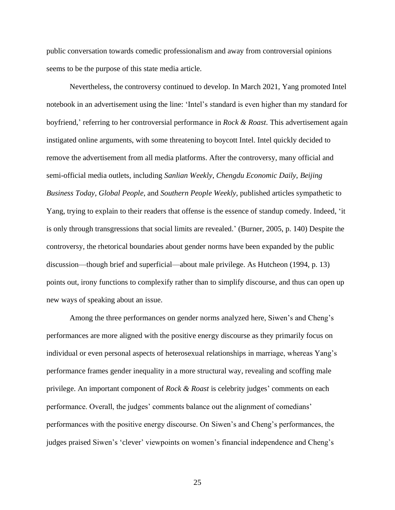public conversation towards comedic professionalism and away from controversial opinions seems to be the purpose of this state media article.

Nevertheless, the controversy continued to develop. In March 2021, Yang promoted Intel notebook in an advertisement using the line: 'Intel's standard is even higher than my standard for boyfriend,' referring to her controversial performance in *Rock & Roast*. This advertisement again instigated online arguments, with some threatening to boycott Intel. Intel quickly decided to remove the advertisement from all media platforms. After the controversy, many official and semi-official media outlets, including *Sanlian Weekly*, *Chengdu Economic Daily*, *Beijing Business Today*, *Global People*, and *Southern People Weekly*, published articles sympathetic to Yang, trying to explain to their readers that offense is the essence of standup comedy. Indeed, 'it is only through transgressions that social limits are revealed.' (Burner, 2005, p. 140) Despite the controversy, the rhetorical boundaries about gender norms have been expanded by the public discussion—though brief and superficial—about male privilege. As Hutcheon (1994, p. 13) points out, irony functions to complexify rather than to simplify discourse, and thus can open up new ways of speaking about an issue.

Among the three performances on gender norms analyzed here, Siwen's and Cheng's performances are more aligned with the positive energy discourse as they primarily focus on individual or even personal aspects of heterosexual relationships in marriage, whereas Yang's performance frames gender inequality in a more structural way, revealing and scoffing male privilege. An important component of *Rock & Roast* is celebrity judges' comments on each performance. Overall, the judges' comments balance out the alignment of comedians' performances with the positive energy discourse. On Siwen's and Cheng's performances, the judges praised Siwen's 'clever' viewpoints on women's financial independence and Cheng's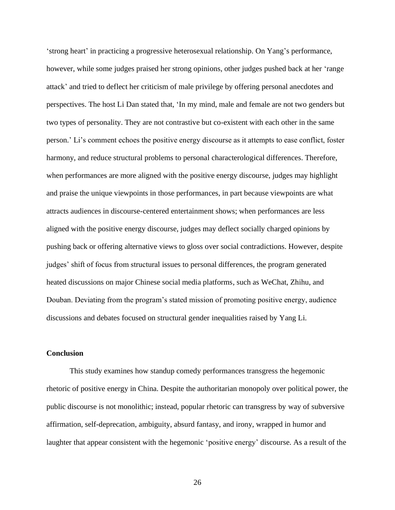'strong heart' in practicing a progressive heterosexual relationship. On Yang's performance, however, while some judges praised her strong opinions, other judges pushed back at her 'range attack' and tried to deflect her criticism of male privilege by offering personal anecdotes and perspectives. The host Li Dan stated that, 'In my mind, male and female are not two genders but two types of personality. They are not contrastive but co-existent with each other in the same person.' Li's comment echoes the positive energy discourse as it attempts to ease conflict, foster harmony, and reduce structural problems to personal characterological differences. Therefore, when performances are more aligned with the positive energy discourse, judges may highlight and praise the unique viewpoints in those performances, in part because viewpoints are what attracts audiences in discourse-centered entertainment shows; when performances are less aligned with the positive energy discourse, judges may deflect socially charged opinions by pushing back or offering alternative views to gloss over social contradictions. However, despite judges' shift of focus from structural issues to personal differences, the program generated heated discussions on major Chinese social media platforms, such as WeChat, Zhihu, and Douban. Deviating from the program's stated mission of promoting positive energy, audience discussions and debates focused on structural gender inequalities raised by Yang Li.

# **Conclusion**

This study examines how standup comedy performances transgress the hegemonic rhetoric of positive energy in China. Despite the authoritarian monopoly over political power, the public discourse is not monolithic; instead, popular rhetoric can transgress by way of subversive affirmation, self-deprecation, ambiguity, absurd fantasy, and irony, wrapped in humor and laughter that appear consistent with the hegemonic 'positive energy' discourse. As a result of the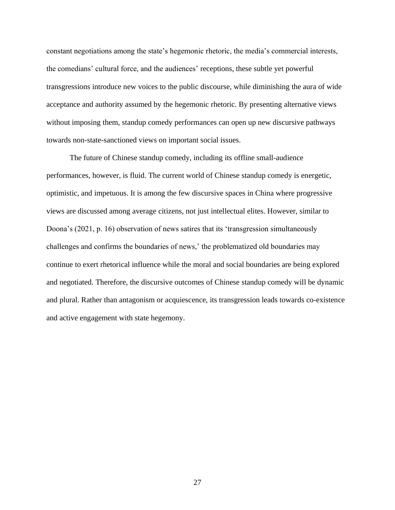constant negotiations among the state's hegemonic rhetoric, the media's commercial interests, the comedians' cultural force, and the audiences' receptions, these subtle yet powerful transgressions introduce new voices to the public discourse, while diminishing the aura of wide acceptance and authority assumed by the hegemonic rhetoric. By presenting alternative views without imposing them, standup comedy performances can open up new discursive pathways towards non-state-sanctioned views on important social issues.

The future of Chinese standup comedy, including its offline small-audience performances, however, is fluid. The current world of Chinese standup comedy is energetic, optimistic, and impetuous. It is among the few discursive spaces in China where progressive views are discussed among average citizens, not just intellectual elites. However, similar to Doona's (2021, p. 16) observation of news satires that its 'transgression simultaneously challenges and confirms the boundaries of news,' the problematized old boundaries may continue to exert rhetorical influence while the moral and social boundaries are being explored and negotiated. Therefore, the discursive outcomes of Chinese standup comedy will be dynamic and plural. Rather than antagonism or acquiescence, its transgression leads towards co-existence and active engagement with state hegemony.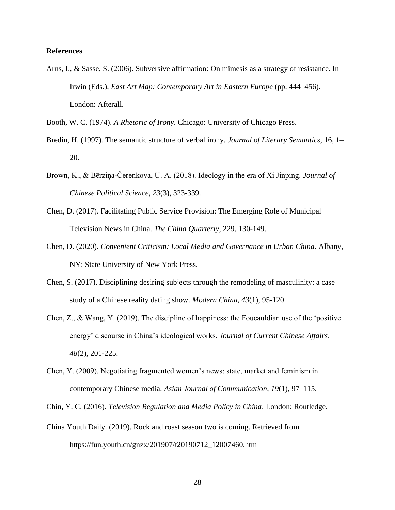# **References**

Arns, I., & Sasse, S. (2006). Subversive affirmation: On mimesis as a strategy of resistance. In Irwin (Eds.), *East Art Map: Contemporary Art in Eastern Europe* (pp. 444–456). London: Afterall.

Booth, W. C. (1974). *A Rhetoric of Irony*. Chicago: University of Chicago Press.

- Bredin, H. (1997). The semantic structure of verbal irony. *Journal of Literary Semantics*, 16, 1– 20.
- Brown, K., & Bērziņa-Čerenkova, U. A. (2018). Ideology in the era of Xi Jinping. *Journal of Chinese Political Science*, *23*(3), 323-339.
- Chen, D. (2017). Facilitating Public Service Provision: The Emerging Role of Municipal Television News in China. *The China Quarterly*, 229, 130-149.
- Chen, D. (2020). *Convenient Criticism: Local Media and Governance in Urban China*. Albany, NY: State University of New York Press.
- Chen, S. (2017). Disciplining desiring subjects through the remodeling of masculinity: a case study of a Chinese reality dating show. *Modern China*, *43*(1), 95-120.
- Chen, Z., & Wang, Y. (2019). The discipline of happiness: the Foucauldian use of the 'positive energy' discourse in China's ideological works. *Journal of Current Chinese Affairs*, *48*(2), 201-225.
- Chen, Y. (2009). Negotiating fragmented women's news: state, market and feminism in contemporary Chinese media. *Asian Journal of Communication*, *19*(1), 97–115.

Chin, Y. C. (2016). *Television Regulation and Media Policy in China*. London: Routledge.

China Youth Daily. (2019). Rock and roast season two is coming. Retrieved fro[m](https://fun.youth.cn/gnzx/201907/t20190712_12007460.htm) [https://fun.youth.cn/gnzx/201907/t20190712\\_12007460.htm](https://fun.youth.cn/gnzx/201907/t20190712_12007460.htm)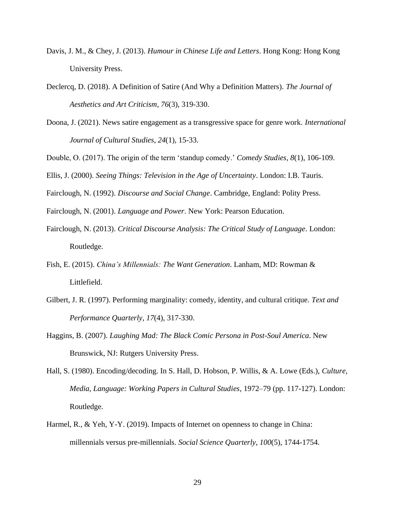- Davis, J. M., & Chey, J. (2013). *Humour in Chinese Life and Letters*. Hong Kong: Hong Kong University Press.
- Declercq, D. (2018). A Definition of Satire (And Why a Definition Matters). *The Journal of Aesthetics and Art Criticism*, *76*(3), 319-330.
- Doona, J. (2021). News satire engagement as a transgressive space for genre work. *International Journal of Cultural Studies*, *24*(1), 15-33.
- Double, O. (2017). The origin of the term 'standup comedy.' *Comedy Studies*, *8*(1), 106-109.

Ellis, J. (2000). *Seeing Things: Television in the Age of Uncertainty*. London: I.B. Tauris.

Fairclough, N. (1992). *Discourse and Social Change*. Cambridge, England: Polity Press.

- Fairclough, N. (2001). *Language and Power*. New York: Pearson Education.
- Fairclough, N. (2013). *Critical Discourse Analysis: The Critical Study of Language*. London: Routledge.
- Fish, E. (2015). *China's Millennials: The Want Generation*. Lanham, MD: Rowman & Littlefield.
- Gilbert, J. R. (1997). Performing marginality: comedy, identity, and cultural critique. *Text and Performance Quarterly*, *17*(4), 317-330.
- Haggins, B. (2007). *Laughing Mad: The Black Comic Persona in Post-Soul America*. New Brunswick, NJ: Rutgers University Press.
- Hall, S. (1980). Encoding/decoding. In S. Hall, D. Hobson, P. Willis, & A. Lowe (Eds.), *Culture, Media, Language: Working Papers in Cultural Studies*, 1972–79 (pp. 117-127). London: Routledge.
- Harmel, R., & Yeh, Y-Y. (2019). Impacts of Internet on openness to change in China: millennials versus pre-millennials. *Social Science Quarterly*, *100*(5), 1744-1754.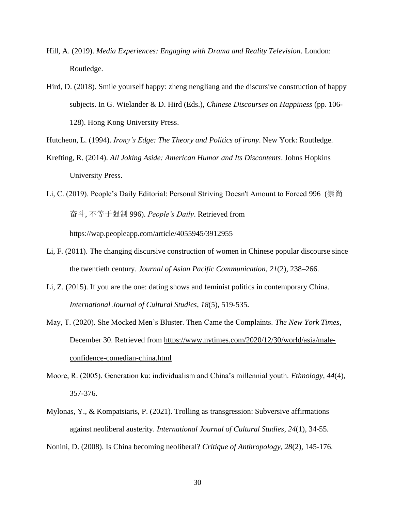- Hill, A. (2019). *Media Experiences: Engaging with Drama and Reality Television*. London: Routledge.
- Hird, D. (2018). Smile yourself happy: zheng nengliang and the discursive construction of happy subjects. In G. Wielander & D. Hird (Eds.), *Chinese Discourses on Happiness* (pp. 106- 128). Hong Kong University Press.
- Hutcheon, L. (1994). *Irony's Edge: The Theory and Politics of irony*. New York: Routledge.
- Krefting, R. (2014). *All Joking Aside: American Humor and Its Discontents*. Johns Hopkins University Press.
- Li, C. (2019). People's Daily Editorial: Personal Striving Doesn't Amount to Forced 996 (崇尚 奋斗, 不等于强制 996). *People's Daily*. Retrieved from <https://wap.peopleapp.com/article/4055945/3912955>
- Li, F. (2011). The changing discursive construction of women in Chinese popular discourse since the twentieth century. *Journal of Asian Pacific Communication*, *21*(2), 238–266.
- Li, Z. (2015). If you are the one: dating shows and feminist politics in contemporary China. *International Journal of Cultural Studies*, *18*(5), 519-535.
- May, T. (2020). She Mocked Men's Bluster. Then Came the Complaints. *The New York Times*, December 30. Retrieved from [https://www.nytimes.com/2020/12/30/world/asia/male](https://www.nytimes.com/2020/12/30/world/asia/male-confidence-comedian-china.html)[confidence-comedian-china.html](https://www.nytimes.com/2020/12/30/world/asia/male-confidence-comedian-china.html)
- Moore, R. (2005). Generation ku: individualism and China's millennial youth. *Ethnology*, *44*(4), 357-376.
- Mylonas, Y., & Kompatsiaris, P. (2021). Trolling as transgression: Subversive affirmations against neoliberal austerity. *International Journal of Cultural Studies*, *24*(1), 34-55.
- Nonini, D. (2008). Is China becoming neoliberal? *Critique of Anthropology*, *28*(2), 145-176.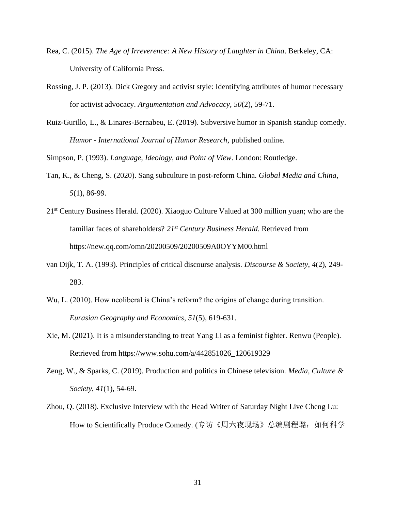- Rea, C. (2015). *The Age of Irreverence: A New History of Laughter in China*. Berkeley, CA: University of California Press.
- Rossing, J. P. (2013). Dick Gregory and activist style: Identifying attributes of humor necessary for activist advocacy. *Argumentation and Advocacy*, *50*(2), 59-71.
- Ruiz-Gurillo, L., & Linares-Bernabeu, E. (2019). Subversive humor in Spanish standup comedy. *Humor - International Journal of Humor Research*, published online.

Simpson, P. (1993). *Language, Ideology, and Point of View*. London: Routledge.

- Tan, K., & Cheng, S. (2020). Sang subculture in post-reform China. *Global Media and China*, *5*(1), 86-99.
- 21st Century Business Herald. (2020). Xiaoguo Culture Valued at 300 million yuan; who are the familiar faces of shareholders? *21st Century Business Herald*. Retrieved from <https://new.qq.com/omn/20200509/20200509A0OYYM00.html>
- van Dijk, T. A. (1993). Principles of critical discourse analysis. *Discourse & Society*, *4*(2), 249- 283.
- Wu, L. (2010). How neoliberal is China's reform? the origins of change during transition. *Eurasian Geography and Economics*, *51*(5), 619-631.
- Xie, M. (2021). It is a misunderstanding to treat Yang Li as a feminist fighter. Renwu (People). Retrieved from [https://www.sohu.com/a/442851026\\_120619329](https://www.sohu.com/a/442851026_120619329)
- Zeng, W., & Sparks, C. (2019). Production and politics in Chinese television. *Media, Culture & Society*, *41*(1), 54-69.
- Zhou, Q. (2018). Exclusive Interview with the Head Writer of Saturday Night Live Cheng Lu: How to Scientifically Produce Comedy. (专访《周六夜现场》总编剧程璐: 如何科学